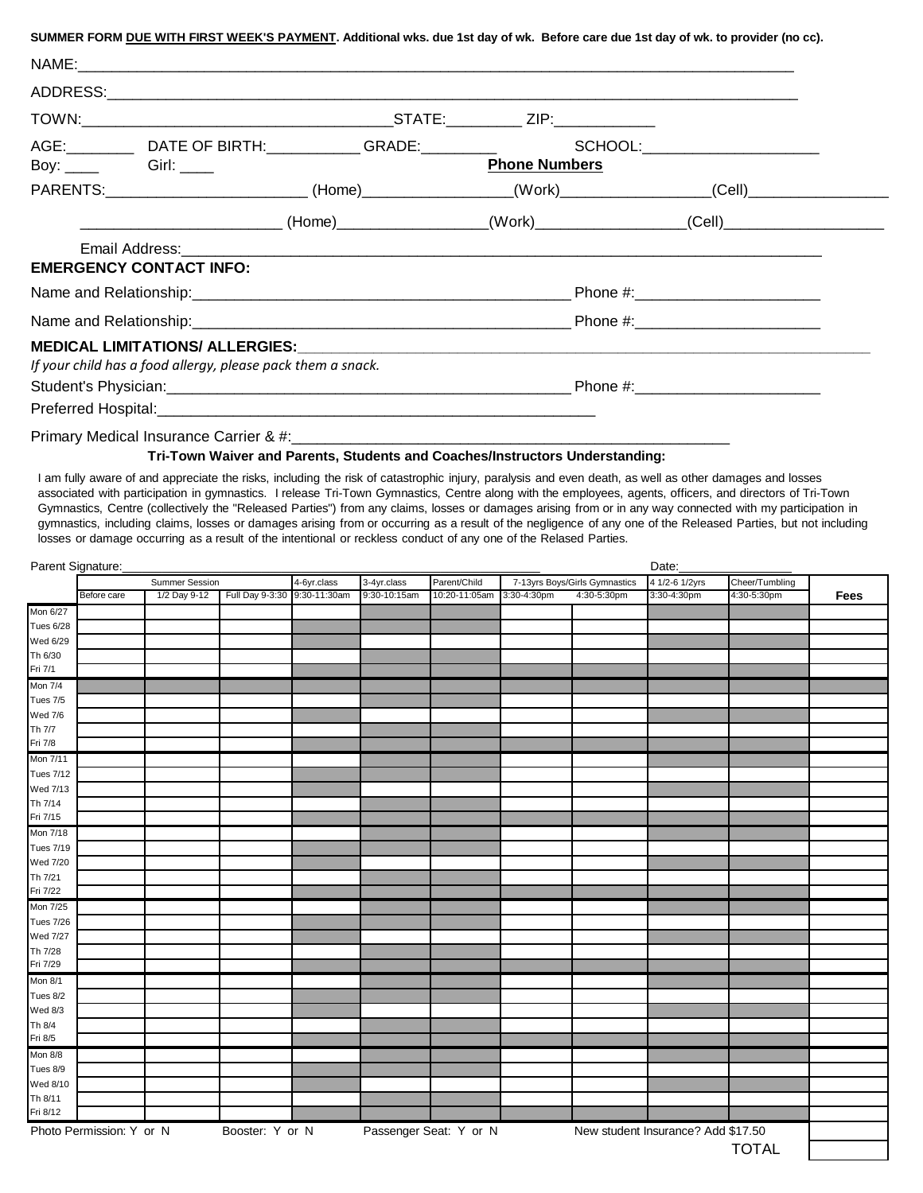|                                            | SUMMER FORM DUE WITH FIRST WEEK'S PAYMENT. Additional wks. due 1st day of wk. Before care due 1st day of wk. to provider (no cc). |  |                      |  |
|--------------------------------------------|-----------------------------------------------------------------------------------------------------------------------------------|--|----------------------|--|
|                                            |                                                                                                                                   |  |                      |  |
|                                            |                                                                                                                                   |  |                      |  |
|                                            |                                                                                                                                   |  |                      |  |
|                                            | AGE: __________ DATE OF BIRTH:______________GRADE:____________    SCHOOL:__________________________                               |  |                      |  |
| Boy: $\qquad \qquad$ Girl: $\qquad \qquad$ |                                                                                                                                   |  | <b>Phone Numbers</b> |  |
|                                            | PARENTS:___________________________(Home)________________(Work)_________________(Cell)___________________                         |  |                      |  |
|                                            |                                                                                                                                   |  |                      |  |
|                                            |                                                                                                                                   |  |                      |  |
|                                            | <b>EMERGENCY CONTACT INFO:</b>                                                                                                    |  |                      |  |
|                                            |                                                                                                                                   |  |                      |  |
|                                            |                                                                                                                                   |  |                      |  |
|                                            |                                                                                                                                   |  |                      |  |
|                                            | If your child has a food allergy, please pack them a snack.                                                                       |  |                      |  |
|                                            |                                                                                                                                   |  |                      |  |
|                                            |                                                                                                                                   |  |                      |  |
|                                            |                                                                                                                                   |  |                      |  |

## **Tri-Town Waiver and Parents, Students and Coaches/Instructors Understanding:**

I am fully aware of and appreciate the risks, including the risk of catastrophic injury, paralysis and even death, as well as other damages and losses associated with participation in gymnastics. I release Tri-Town Gymnastics, Centre along with the employees, agents, officers, and directors of Tri-Town Gymnastics, Centre (collectively the "Released Parties") from any claims, losses or damages arising from or in any way connected with my participation in gymnastics, including claims, losses or damages arising from or occurring as a result of the negligence of any one of the Released Parties, but not including losses or damage occurring as a result of the intentional or reckless conduct of any one of the Relased Parties.

|                  | Parent Signature:        |              |                 |                                            |              |                        |             |                               |                                    | Date:          |      |  |  |
|------------------|--------------------------|--------------|-----------------|--------------------------------------------|--------------|------------------------|-------------|-------------------------------|------------------------------------|----------------|------|--|--|
|                  | Summer Session           |              |                 | 3-4yr.class<br>Parent/Child<br>4-6yr.class |              |                        |             | 7-13yrs Boys/Girls Gymnastics | 4 1/2-6 1/2yrs                     | Cheer/Tumbling |      |  |  |
|                  | Before care              | 1/2 Day 9-12 | Full Day 9-3:30 | 9:30-11:30am                               | 9:30-10:15am | 10:20-11:05am          | 3:30-4:30pm | 4:30-5:30pm                   | 3:30-4:30pm                        | 4:30-5:30pm    | Fees |  |  |
| Mon 6/27         |                          |              |                 |                                            |              |                        |             |                               |                                    |                |      |  |  |
| <b>Tues 6/28</b> |                          |              |                 |                                            |              |                        |             |                               |                                    |                |      |  |  |
| Wed 6/29         |                          |              |                 |                                            |              |                        |             |                               |                                    |                |      |  |  |
| Th 6/30          |                          |              |                 |                                            |              |                        |             |                               |                                    |                |      |  |  |
| Fri 7/1          |                          |              |                 |                                            |              |                        |             |                               |                                    |                |      |  |  |
| <b>Mon 7/4</b>   |                          |              |                 |                                            |              |                        |             |                               |                                    |                |      |  |  |
| Tues 7/5         |                          |              |                 |                                            |              |                        |             |                               |                                    |                |      |  |  |
| <b>Wed 7/6</b>   |                          |              |                 |                                            |              |                        |             |                               |                                    |                |      |  |  |
| Th 7/7           |                          |              |                 |                                            |              |                        |             |                               |                                    |                |      |  |  |
| Fri 7/8          |                          |              |                 |                                            |              |                        |             |                               |                                    |                |      |  |  |
| Mon 7/11         |                          |              |                 |                                            |              |                        |             |                               |                                    |                |      |  |  |
| <b>Tues 7/12</b> |                          |              |                 |                                            |              |                        |             |                               |                                    |                |      |  |  |
| Wed 7/13         |                          |              |                 |                                            |              |                        |             |                               |                                    |                |      |  |  |
| Th 7/14          |                          |              |                 |                                            |              |                        |             |                               |                                    |                |      |  |  |
| Fri 7/15         |                          |              |                 |                                            |              |                        |             |                               |                                    |                |      |  |  |
| Mon 7/18         |                          |              |                 |                                            |              |                        |             |                               |                                    |                |      |  |  |
| <b>Tues 7/19</b> |                          |              |                 |                                            |              |                        |             |                               |                                    |                |      |  |  |
| Wed 7/20         |                          |              |                 |                                            |              |                        |             |                               |                                    |                |      |  |  |
| Th 7/21          |                          |              |                 |                                            |              |                        |             |                               |                                    |                |      |  |  |
| Fri 7/22         |                          |              |                 |                                            |              |                        |             |                               |                                    |                |      |  |  |
| Mon 7/25         |                          |              |                 |                                            |              |                        |             |                               |                                    |                |      |  |  |
| <b>Tues 7/26</b> |                          |              |                 |                                            |              |                        |             |                               |                                    |                |      |  |  |
| Wed 7/27         |                          |              |                 |                                            |              |                        |             |                               |                                    |                |      |  |  |
| Th 7/28          |                          |              |                 |                                            |              |                        |             |                               |                                    |                |      |  |  |
| Fri 7/29         |                          |              |                 |                                            |              |                        |             |                               |                                    |                |      |  |  |
| Mon 8/1          |                          |              |                 |                                            |              |                        |             |                               |                                    |                |      |  |  |
| Tues 8/2         |                          |              |                 |                                            |              |                        |             |                               |                                    |                |      |  |  |
| <b>Wed 8/3</b>   |                          |              |                 |                                            |              |                        |             |                               |                                    |                |      |  |  |
| Th 8/4           |                          |              |                 |                                            |              |                        |             |                               |                                    |                |      |  |  |
| Fri 8/5          |                          |              |                 |                                            |              |                        |             |                               |                                    |                |      |  |  |
| Mon 8/8          |                          |              |                 |                                            |              |                        |             |                               |                                    |                |      |  |  |
| Tues 8/9         |                          |              |                 |                                            |              |                        |             |                               |                                    |                |      |  |  |
| Wed 8/10         |                          |              |                 |                                            |              |                        |             |                               |                                    |                |      |  |  |
| Th 8/11          |                          |              |                 |                                            |              |                        |             |                               |                                    |                |      |  |  |
| Fri 8/12         |                          |              |                 |                                            |              |                        |             |                               |                                    |                |      |  |  |
|                  | Photo Permission: Y or N |              | Booster: Y or N |                                            |              | Passenger Seat: Y or N |             |                               | New student Insurance? Add \$17.50 |                |      |  |  |
|                  |                          |              |                 |                                            |              |                        |             |                               |                                    | <b>TOTAL</b>   |      |  |  |
|                  |                          |              |                 |                                            |              |                        |             |                               |                                    |                |      |  |  |